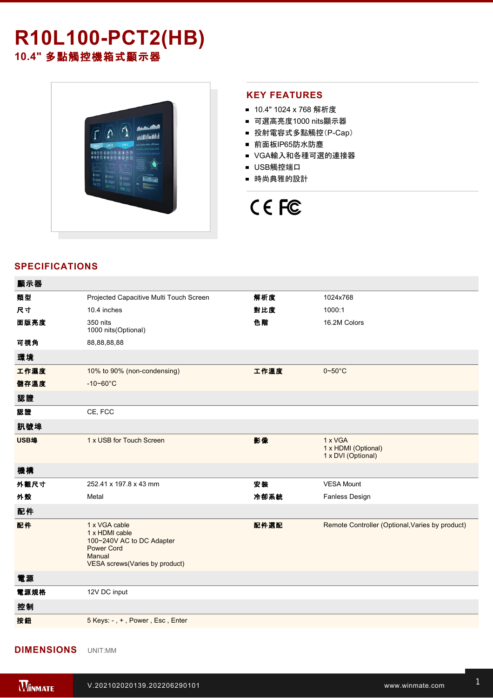# **R10L100-PCT2(HB) 10.4"** 多點觸控機箱式顯示器



#### **KEY FEATURES**

- 10.4" 1024 x 768 解析度
- 可選高亮度1000 nits顯示器
- 投射電容式多點觸控(P-Cap)
- 前面板IP65防水防塵
- VGA輸入和各種可選的連接器
- USB觸控端口
- 時尚典雅的設計

# CE FC

## **SPECIFICATIONS**

| 顯示器  |                                                                                                                               |      |                                                      |
|------|-------------------------------------------------------------------------------------------------------------------------------|------|------------------------------------------------------|
| 類型   | Projected Capacitive Multi Touch Screen                                                                                       | 解析度  | 1024x768                                             |
| 尺寸   | 10.4 inches                                                                                                                   | 對比度  | 1000:1                                               |
| 面版亮度 | 350 nits<br>1000 nits (Optional)                                                                                              | 色階   | 16.2M Colors                                         |
| 可視角  | 88,88,88,88                                                                                                                   |      |                                                      |
| 環境   |                                                                                                                               |      |                                                      |
| 工作濕度 | 10% to 90% (non-condensing)                                                                                                   | 工作溫度 | $0 - 50$ °C                                          |
| 儲存溫度 | $-10 - 60^{\circ}$ C                                                                                                          |      |                                                      |
| 認證   |                                                                                                                               |      |                                                      |
| 認證   | CE, FCC                                                                                                                       |      |                                                      |
| 訊號埠  |                                                                                                                               |      |                                                      |
| USB埠 | 1 x USB for Touch Screen                                                                                                      | 影像   | 1 x VGA<br>1 x HDMI (Optional)<br>1 x DVI (Optional) |
| 機構   |                                                                                                                               |      |                                                      |
| 外觀尺寸 | 252.41 x 197.8 x 43 mm                                                                                                        | 安装   | <b>VESA Mount</b>                                    |
| 外殼   | Metal                                                                                                                         | 冷卻系統 | Fanless Design                                       |
| 配件   |                                                                                                                               |      |                                                      |
| 配件   | 1 x VGA cable<br>1 x HDMI cable<br>100~240V AC to DC Adapter<br><b>Power Cord</b><br>Manual<br>VESA screws(Varies by product) | 配件選配 | Remote Controller (Optional, Varies by product)      |
| 電源   |                                                                                                                               |      |                                                      |
| 電源規格 | 12V DC input                                                                                                                  |      |                                                      |
| 控制   |                                                                                                                               |      |                                                      |
| 按鈕   | 5 Keys: -, +, Power, Esc, Enter                                                                                               |      |                                                      |
|      |                                                                                                                               |      |                                                      |

#### **DIMENSIONS**  UNIT:MM